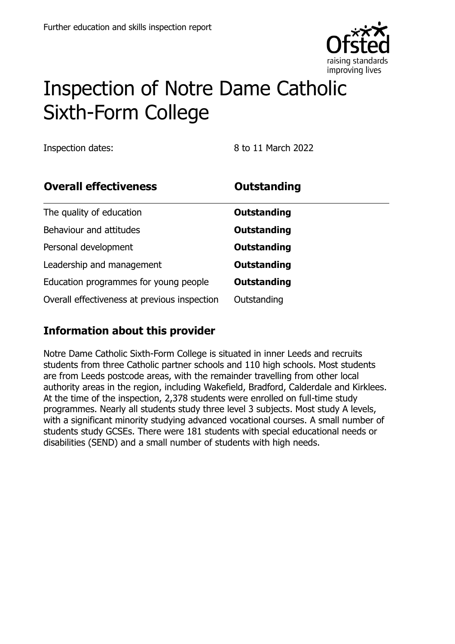

# Inspection of Notre Dame Catholic Sixth-Form College

Inspection dates: 8 to 11 March 2022

| <b>Overall effectiveness</b>                 | <b>Outstanding</b> |
|----------------------------------------------|--------------------|
| The quality of education                     | Outstanding        |
| Behaviour and attitudes                      | <b>Outstanding</b> |
| Personal development                         | <b>Outstanding</b> |
| Leadership and management                    | <b>Outstanding</b> |
| Education programmes for young people        | Outstanding        |
| Overall effectiveness at previous inspection | Outstanding        |

#### **Information about this provider**

Notre Dame Catholic Sixth-Form College is situated in inner Leeds and recruits students from three Catholic partner schools and 110 high schools. Most students are from Leeds postcode areas, with the remainder travelling from other local authority areas in the region, including Wakefield, Bradford, Calderdale and Kirklees. At the time of the inspection, 2,378 students were enrolled on full-time study programmes. Nearly all students study three level 3 subjects. Most study A levels, with a significant minority studying advanced vocational courses. A small number of students study GCSEs. There were 181 students with special educational needs or disabilities (SEND) and a small number of students with high needs.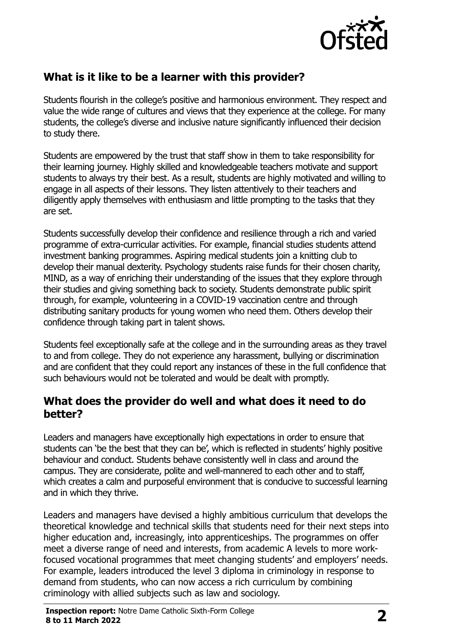

## **What is it like to be a learner with this provider?**

Students flourish in the college's positive and harmonious environment. They respect and value the wide range of cultures and views that they experience at the college. For many students, the college's diverse and inclusive nature significantly influenced their decision to study there.

Students are empowered by the trust that staff show in them to take responsibility for their learning journey. Highly skilled and knowledgeable teachers motivate and support students to always try their best. As a result, students are highly motivated and willing to engage in all aspects of their lessons. They listen attentively to their teachers and diligently apply themselves with enthusiasm and little prompting to the tasks that they are set.

Students successfully develop their confidence and resilience through a rich and varied programme of extra-curricular activities. For example, financial studies students attend investment banking programmes. Aspiring medical students join a knitting club to develop their manual dexterity. Psychology students raise funds for their chosen charity, MIND, as a way of enriching their understanding of the issues that they explore through their studies and giving something back to society. Students demonstrate public spirit through, for example, volunteering in a COVID-19 vaccination centre and through distributing sanitary products for young women who need them. Others develop their confidence through taking part in talent shows.

Students feel exceptionally safe at the college and in the surrounding areas as they travel to and from college. They do not experience any harassment, bullying or discrimination and are confident that they could report any instances of these in the full confidence that such behaviours would not be tolerated and would be dealt with promptly.

#### **What does the provider do well and what does it need to do better?**

Leaders and managers have exceptionally high expectations in order to ensure that students can 'be the best that they can be', which is reflected in students' highly positive behaviour and conduct. Students behave consistently well in class and around the campus. They are considerate, polite and well-mannered to each other and to staff, which creates a calm and purposeful environment that is conducive to successful learning and in which they thrive.

Leaders and managers have devised a highly ambitious curriculum that develops the theoretical knowledge and technical skills that students need for their next steps into higher education and, increasingly, into apprenticeships. The programmes on offer meet a diverse range of need and interests, from academic A levels to more workfocused vocational programmes that meet changing students' and employers' needs. For example, leaders introduced the level 3 diploma in criminology in response to demand from students, who can now access a rich curriculum by combining criminology with allied subjects such as law and sociology.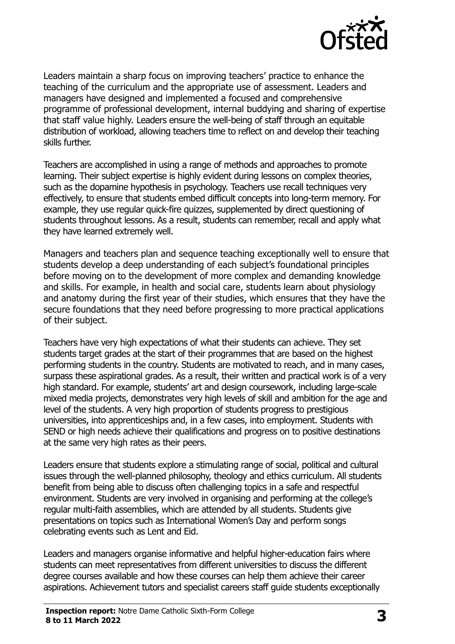

Leaders maintain a sharp focus on improving teachers' practice to enhance the teaching of the curriculum and the appropriate use of assessment. Leaders and managers have designed and implemented a focused and comprehensive programme of professional development, internal buddying and sharing of expertise that staff value highly. Leaders ensure the well-being of staff through an equitable distribution of workload, allowing teachers time to reflect on and develop their teaching skills further.

Teachers are accomplished in using a range of methods and approaches to promote learning. Their subject expertise is highly evident during lessons on complex theories, such as the dopamine hypothesis in psychology. Teachers use recall techniques very effectively, to ensure that students embed difficult concepts into long-term memory. For example, they use regular quick-fire quizzes, supplemented by direct questioning of students throughout lessons. As a result, students can remember, recall and apply what they have learned extremely well.

Managers and teachers plan and sequence teaching exceptionally well to ensure that students develop a deep understanding of each subject's foundational principles before moving on to the development of more complex and demanding knowledge and skills. For example, in health and social care, students learn about physiology and anatomy during the first year of their studies, which ensures that they have the secure foundations that they need before progressing to more practical applications of their subject.

Teachers have very high expectations of what their students can achieve. They set students target grades at the start of their programmes that are based on the highest performing students in the country. Students are motivated to reach, and in many cases, surpass these aspirational grades. As a result, their written and practical work is of a very high standard. For example, students' art and design coursework, including large-scale mixed media projects, demonstrates very high levels of skill and ambition for the age and level of the students. A very high proportion of students progress to prestigious universities, into apprenticeships and, in a few cases, into employment. Students with SEND or high needs achieve their qualifications and progress on to positive destinations at the same very high rates as their peers.

Leaders ensure that students explore a stimulating range of social, political and cultural issues through the well-planned philosophy, theology and ethics curriculum. All students benefit from being able to discuss often challenging topics in a safe and respectful environment. Students are very involved in organising and performing at the college's regular multi-faith assemblies, which are attended by all students. Students give presentations on topics such as International Women's Day and perform songs celebrating events such as Lent and Eid.

Leaders and managers organise informative and helpful higher-education fairs where students can meet representatives from different universities to discuss the different degree courses available and how these courses can help them achieve their career aspirations. Achievement tutors and specialist careers staff guide students exceptionally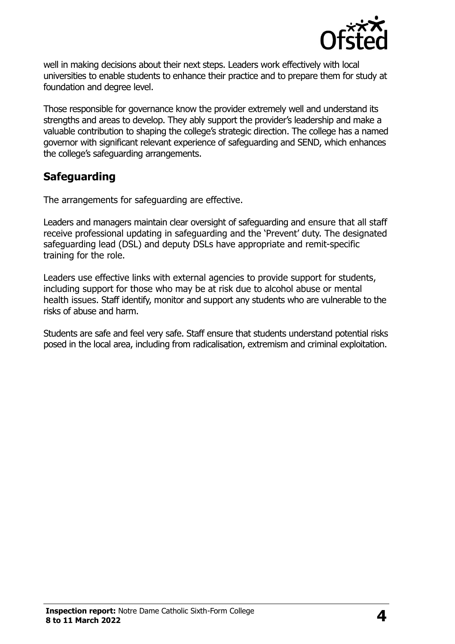

well in making decisions about their next steps. Leaders work effectively with local universities to enable students to enhance their practice and to prepare them for study at foundation and degree level.

Those responsible for governance know the provider extremely well and understand its strengths and areas to develop. They ably support the provider's leadership and make a valuable contribution to shaping the college's strategic direction. The college has a named governor with significant relevant experience of safeguarding and SEND, which enhances the college's safeguarding arrangements.

#### **Safeguarding**

The arrangements for safeguarding are effective.

Leaders and managers maintain clear oversight of safeguarding and ensure that all staff receive professional updating in safeguarding and the 'Prevent' duty. The designated safeguarding lead (DSL) and deputy DSLs have appropriate and remit-specific training for the role.

Leaders use effective links with external agencies to provide support for students, including support for those who may be at risk due to alcohol abuse or mental health issues. Staff identify, monitor and support any students who are vulnerable to the risks of abuse and harm.

Students are safe and feel very safe. Staff ensure that students understand potential risks posed in the local area, including from radicalisation, extremism and criminal exploitation.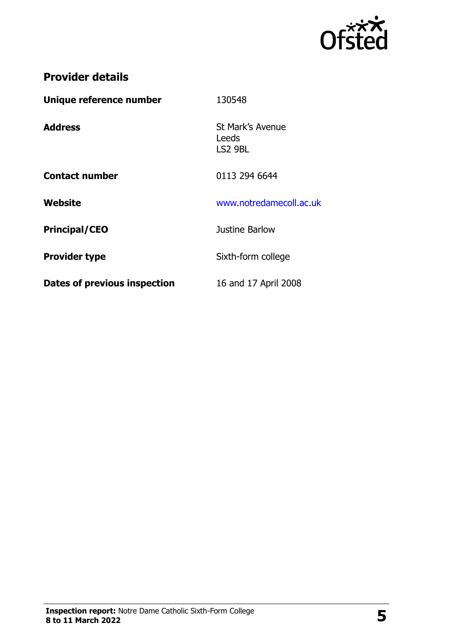

## **Provider details**

| Unique reference number             | 130548                               |
|-------------------------------------|--------------------------------------|
| <b>Address</b>                      | St Mark's Avenue<br>Leeds<br>LS2 9BL |
| <b>Contact number</b>               | 0113 294 6644                        |
| Website                             | www.notredamecoll.ac.uk              |
| <b>Principal/CEO</b>                | Justine Barlow                       |
| <b>Provider type</b>                | Sixth-form college                   |
| <b>Dates of previous inspection</b> | 16 and 17 April 2008                 |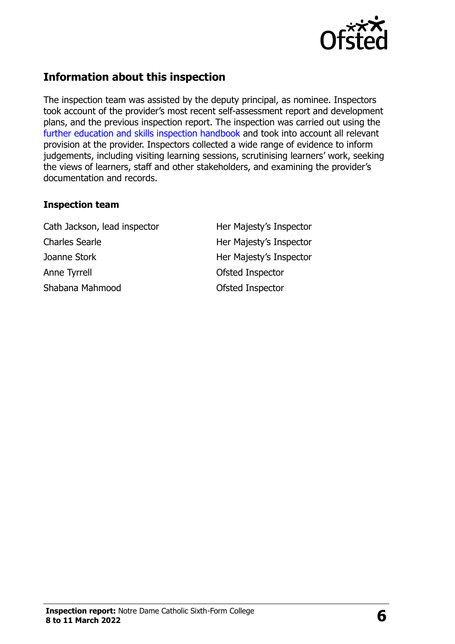

#### **Information about this inspection**

The inspection team was assisted by the deputy principal, as nominee. Inspectors took account of the provider's most recent self-assessment report and development plans, and the previous inspection report. The inspection was carried out using the [further education and skills inspection handbook](http://www.gov.uk/government/publications/further-education-and-skills-inspection-handbook-eif) and took into account all relevant provision at the provider. Inspectors collected a wide range of evidence to inform judgements, including visiting learning sessions, scrutinising learners' work, seeking the views of learners, staff and other stakeholders, and examining the provider's documentation and records.

#### **Inspection team**

Cath Jackson, lead inspector **Her Majesty's Inspector** Charles Searle **Her Majesty's Inspector** Joanne Stork **Her Majesty's Inspector** Anne Tyrrell **Anne Tyrrell Constant Constant Constant Constant Constant Constant Constant Constant Constant Constant Constant Constant Constant Constant Constant Constant Constant Constant Constant Constant Constant Cons** Shabana Mahmood **Ofsted Inspector**